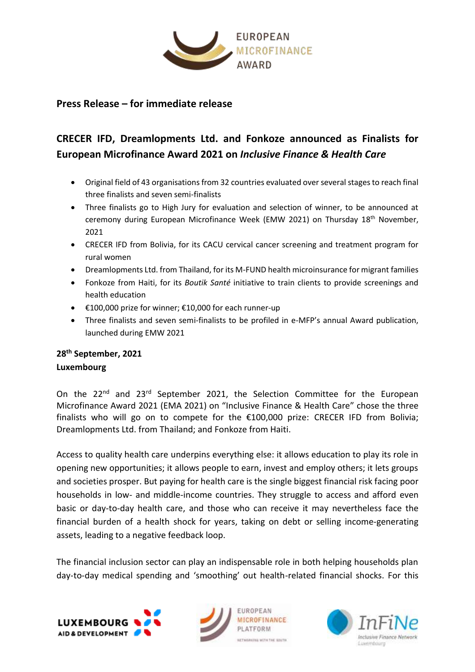

## **Press Release – for immediate release**

## **CRECER IFD, Dreamlopments Ltd. and Fonkoze announced as Finalists for European Microfinance Award 2021 on** *Inclusive Finance & Health Care*

- Original field of 43 organisations from 32 countries evaluated over several stages to reach final three finalists and seven semi-finalists
- Three finalists go to High Jury for evaluation and selection of winner, to be announced at ceremony during European Microfinance Week (EMW 2021) on Thursday 18<sup>th</sup> November, 2021
- CRECER IFD from Bolivia, for its CACU cervical cancer screening and treatment program for rural women
- Dreamlopments Ltd. from Thailand, for its M-FUND health microinsurance for migrant families
- Fonkoze from Haiti, for its *Boutik Santé* initiative to train clients to provide screenings and health education
- €100,000 prize for winner; €10,000 for each runner-up
- Three finalists and seven semi-finalists to be profiled in e-MFP's annual Award publication, launched during EMW 2021

## **28th September, 2021 Luxembourg**

On the 22<sup>nd</sup> and 23<sup>rd</sup> September 2021, the Selection Committee for the European Microfinance Award 2021 (EMA 2021) on "Inclusive Finance & Health Care" chose the three finalists who will go on to compete for the €100,000 prize: CRECER IFD from Bolivia; Dreamlopments Ltd. from Thailand; and Fonkoze from Haiti.

Access to quality health care underpins everything else: it allows education to play its role in opening new opportunities; it allows people to earn, invest and employ others; it lets groups and societies prosper. But paying for health care is the single biggest financial risk facing poor households in low- and middle-income countries. They struggle to access and afford even basic or day-to-day health care, and those who can receive it may nevertheless face the financial burden of a health shock for years, taking on debt or selling income-generating assets, leading to a negative feedback loop.

The financial inclusion sector can play an indispensable role in both helping households plan day-to-day medical spending and 'smoothing' out health-related financial shocks. For this





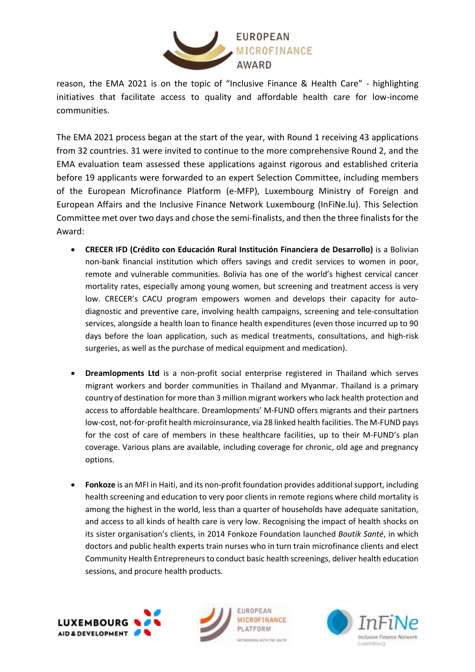

reason, the EMA 2021 is on the topic of "Inclusive Finance & Health Care" - highlighting initiatives that facilitate access to quality and affordable health care for low-income communities.

The EMA 2021 process began at the start of the year, with Round 1 receiving 43 applications from 32 countries. 31 were invited to continue to the more comprehensive Round 2, and the EMA evaluation team assessed these applications against rigorous and established criteria before 19 applicants were forwarded to an expert Selection Committee, including members of the European Microfinance Platform (e-MFP), Luxembourg Ministry of Foreign and European Affairs and the Inclusive Finance Network Luxembourg (InFiNe.lu). This Selection Committee met over two days and chose the semi-finalists, and then the three finalists for the Award:

- **CRECER IFD (Crédito con Educación Rural Institución Financiera de Desarrollo)** is a Bolivian non-bank financial institution which offers savings and credit services to women in poor, remote and vulnerable communities. Bolivia has one of the world's highest cervical cancer mortality rates, especially among young women, but screening and treatment access is very low. CRECER's CACU program empowers women and develops their capacity for autodiagnostic and preventive care, involving health campaigns, screening and tele-consultation services, alongside a health loan to finance health expenditures (even those incurred up to 90 days before the loan application, such as medical treatments, consultations, and high-risk surgeries, as well as the purchase of medical equipment and medication).
- **Dreamlopments Ltd** is a non-profit social enterprise registered in Thailand which serves migrant workers and border communities in Thailand and Myanmar. Thailand is a primary country of destination for more than 3 million migrant workers who lack health protection and access to affordable healthcare. Dreamlopments' M-FUND offers migrants and their partners low-cost, not-for-profit health microinsurance, via 28 linked health facilities. The M-FUND pays for the cost of care of members in these healthcare facilities, up to their M-FUND's plan coverage. Various plans are available, including coverage for chronic, old age and pregnancy options.
- **Fonkoze** is an MFI in Haiti, and its non-profit foundation provides additional support, including health screening and education to very poor clients in remote regions where child mortality is among the highest in the world, less than a quarter of households have adequate sanitation, and access to all kinds of health care is very low. Recognising the impact of health shocks on its sister organisation's clients, in 2014 Fonkoze Foundation launched *Boutik Santé*, in which doctors and public health experts train nurses who in turn train microfinance clients and elect Community Health Entrepreneurs to conduct basic health screenings, deliver health education sessions, and procure health products.